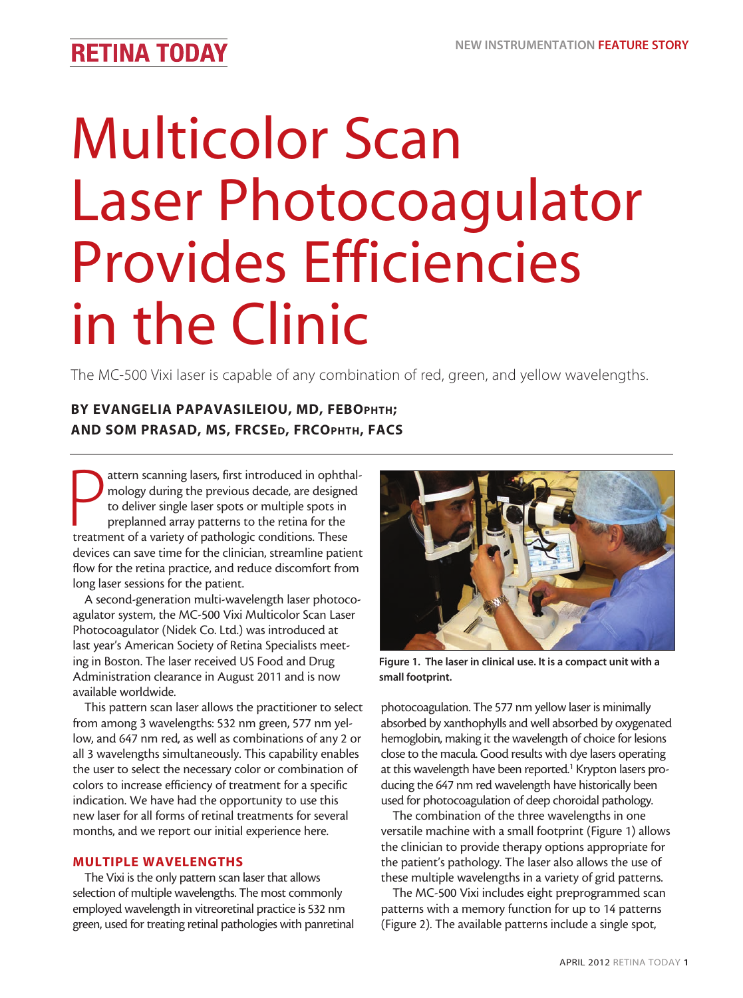## **RETINA TODAY**

# Multicolor Scan Laser Photocoagulator Provides Efficiencies in the Clinic

The MC-500 Vixi laser is capable of any combination of red, green, and yellow wavelengths.

### BY EVANGELIA PAPAVASILEIOU, MD, FEBOPHTH; AND SOM PRASAD, MS, FRCSED, FRCOPHTH, FACS

attern scanning lasers, first introduced in ophth<br>mology during the previous decade, are designe<br>to deliver single laser spots or multiple spots in<br>preplanned array patterns to the retina for the<br>treatment of a variety of attern scanning lasers, first introduced in ophthalmology during the previous decade, are designed to deliver single laser spots or multiple spots in preplanned array patterns to the retina for the devices can save time for the clinician, streamline patient flow for the retina practice, and reduce discomfort from long laser sessions for the patient.

A second-generation multi-wavelength laser photocoagulator system, the MC-500 Vixi Multicolor Scan Laser Photocoagulator (Nidek Co. Ltd.) was introduced at last year's American Society of Retina Specialists meeting in Boston. The laser received US Food and Drug Administration clearance in August 2011 and is now available worldwide.

This pattern scan laser allows the practitioner to select from among 3 wavelengths: 532 nm green, 577 nm yellow, and 647 nm red, as well as combinations of any 2 or all 3 wavelengths simultaneously. This capability enables the user to select the necessary color or combination of colors to increase efficiency of treatment for a specific indication. We have had the opportunity to use this new laser for all forms of retinal treatments for several months, and we report our initial experience here.

#### MULTIPLE WAVELENGTHS

The Vixi is the only pattern scan laser that allows selection of multiple wavelengths. The most commonly employed wavelength in vitreoretinal practice is 532 nm green, used for treating retinal pathologies with panretinal



Figure 1. The laser in clinical use. It is a compact unit with a small footprint.

photocoagulation. The 577 nm yellow laser is minimally absorbed by xanthophylls and well absorbed by oxygenated hemoglobin, making it the wavelength of choice for lesions close to the macula. Good results with dye lasers operating at this wavelength have been reported.<sup>1</sup> Krypton lasers producing the 647 nm red wavelength have historically been used for photocoagulation of deep choroidal pathology.

The combination of the three wavelengths in one versatile machine with a small footprint (Figure 1) allows the clinician to provide therapy options appropriate for the patient's pathology. The laser also allows the use of these multiple wavelengths in a variety of grid patterns.

The MC-500 Vixi includes eight preprogrammed scan patterns with a memory function for up to 14 patterns (Figure 2). The available patterns include a single spot,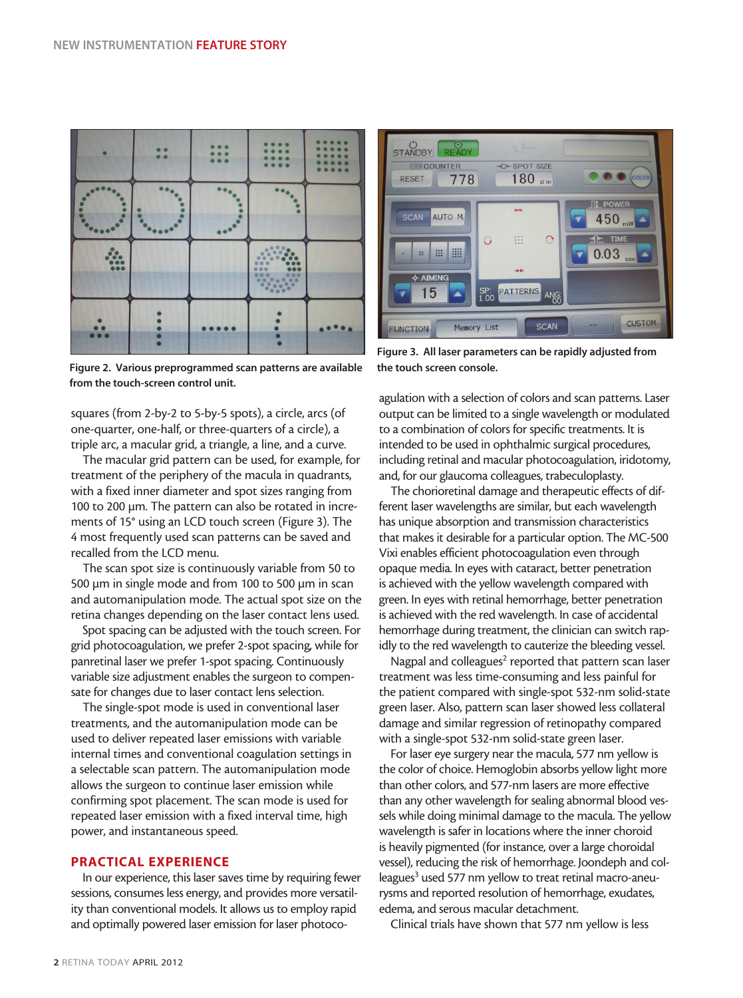

Figure 2. Various preprogrammed scan patterns are available from the touch-screen control unit.

squares (from 2-by-2 to 5-by-5 spots), a circle, arcs (of one-quarter, one-half, or three-quarters of a circle), a triple arc, a macular grid, a triangle, a line, and a curve.

The macular grid pattern can be used, for example, for treatment of the periphery of the macula in quadrants, with a fixed inner diameter and spot sizes ranging from 100 to 200 µm. The pattern can also be rotated in increments of 15° using an LCD touch screen (Figure 3). The 4 most frequently used scan patterns can be saved and recalled from the LCD menu.

The scan spot size is continuously variable from 50 to 500 µm in single mode and from 100 to 500 µm in scan and automanipulation mode. The actual spot size on the retina changes depending on the laser contact lens used.

Spot spacing can be adjusted with the touch screen. For grid photocoagulation, we prefer 2-spot spacing, while for panretinal laser we prefer 1-spot spacing. Continuously variable size adjustment enables the surgeon to compensate for changes due to laser contact lens selection.

The single-spot mode is used in conventional laser treatments, and the automanipulation mode can be used to deliver repeated laser emissions with variable internal times and conventional coagulation settings in a selectable scan pattern. The automanipulation mode allows the surgeon to continue laser emission while confirming spot placement. The scan mode is used for repeated laser emission with a fixed interval time, high power, and instantaneous speed.

#### PRACTICAL EXPERIENCE

In our experience, this laser saves time by requiring fewer sessions, consumes less energy, and provides more versatility than conventional models. It allows us to employ rapid and optimally powered laser emission for laser photoco-



Figure 3. All laser parameters can be rapidly adjusted from the touch screen console.

agulation with a selection of colors and scan patterns. Laser output can be limited to a single wavelength or modulated to a combination of colors for specific treatments. It is intended to be used in ophthalmic surgical procedures, including retinal and macular photocoagulation, iridotomy, and, for our glaucoma colleagues, trabeculoplasty.

The chorioretinal damage and therapeutic effects of different laser wavelengths are similar, but each wavelength has unique absorption and transmission characteristics that makes it desirable for a particular option. The MC-500 Vixi enables efficient photocoagulation even through opaque media. In eyes with cataract, better penetration is achieved with the yellow wavelength compared with green. In eyes with retinal hemorrhage, better penetration is achieved with the red wavelength. In case of accidental hemorrhage during treatment, the clinician can switch rapidly to the red wavelength to cauterize the bleeding vessel.

Nagpal and colleagues<sup>2</sup> reported that pattern scan laser treatment was less time-consuming and less painful for the patient compared with single-spot 532-nm solid-state green laser. Also, pattern scan laser showed less collateral damage and similar regression of retinopathy compared with a single-spot 532-nm solid-state green laser.

For laser eye surgery near the macula, 577 nm yellow is the color of choice. Hemoglobin absorbs yellow light more than other colors, and 577-nm lasers are more effective than any other wavelength for sealing abnormal blood vessels while doing minimal damage to the macula. The yellow wavelength is safer in locations where the inner choroid is heavily pigmented (for instance, over a large choroidal vessel), reducing the risk of hemorrhage. Joondeph and colleagues<sup>3</sup> used 577 nm yellow to treat retinal macro-aneurysms and reported resolution of hemorrhage, exudates, edema, and serous macular detachment.

Clinical trials have shown that 577 nm yellow is less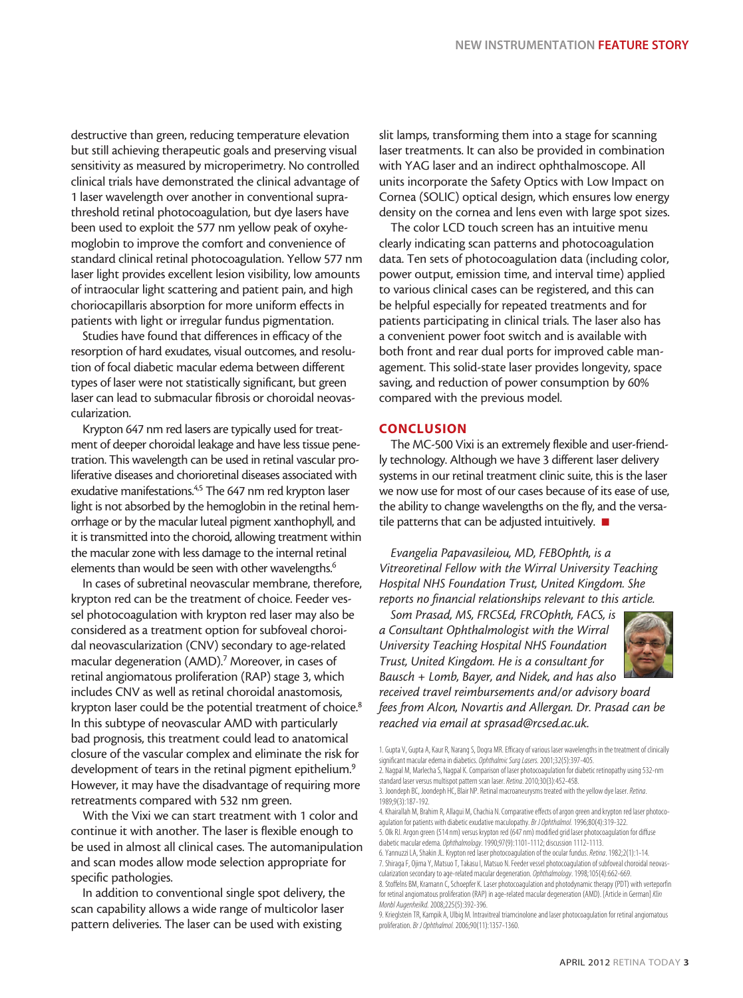destructive than green, reducing temperature elevation but still achieving therapeutic goals and preserving visual sensitivity as measured by microperimetry. No controlled clinical trials have demonstrated the clinical advantage of 1 laser wavelength over another in conventional suprathreshold retinal photocoagulation, but dye lasers have been used to exploit the 577 nm yellow peak of oxyhemoglobin to improve the comfort and convenience of standard clinical retinal photocoagulation. Yellow 577 nm laser light provides excellent lesion visibility, low amounts of intraocular light scattering and patient pain, and high choriocapillaris absorption for more uniform effects in patients with light or irregular fundus pigmentation.

Studies have found that differences in efficacy of the resorption of hard exudates, visual outcomes, and resolution of focal diabetic macular edema between different types of laser were not statistically significant, but green laser can lead to submacular fibrosis or choroidal neovascularization.

Krypton 647 nm red lasers are typically used for treatment of deeper choroidal leakage and have less tissue penetration. This wavelength can be used in retinal vascular proliferative diseases and chorioretinal diseases associated with exudative manifestations.<sup>4,5</sup> The 647 nm red krypton laser light is not absorbed by the hemoglobin in the retinal hemorrhage or by the macular luteal pigment xanthophyll, and it is transmitted into the choroid, allowing treatment within the macular zone with less damage to the internal retinal elements than would be seen with other wavelengths.<sup>6</sup>

In cases of subretinal neovascular membrane, therefore, krypton red can be the treatment of choice. Feeder vessel photocoagulation with krypton red laser may also be considered as a treatment option for subfoveal choroidal neovascularization (CNV) secondary to age-related macular degeneration (AMD).<sup>7</sup> Moreover, in cases of retinal angiomatous proliferation (RAP) stage 3, which includes CNV as well as retinal choroidal anastomosis, krypton laser could be the potential treatment of choice.<sup>8</sup> In this subtype of neovascular AMD with particularly bad prognosis, this treatment could lead to anatomical closure of the vascular complex and eliminate the risk for development of tears in the retinal pigment epithelium.<sup>9</sup> However, it may have the disadvantage of requiring more retreatments compared with 532 nm green.

With the Vixi we can start treatment with 1 color and continue it with another. The laser is flexible enough to be used in almost all clinical cases. The automanipulation and scan modes allow mode selection appropriate for specific pathologies.

In addition to conventional single spot delivery, the scan capability allows a wide range of multicolor laser pattern deliveries. The laser can be used with existing

slit lamps, transforming them into a stage for scanning laser treatments. It can also be provided in combination with YAG laser and an indirect ophthalmoscope. All units incorporate the Safety Optics with Low Impact on Cornea (SOLIC) optical design, which ensures low energy density on the cornea and lens even with large spot sizes.

The color LCD touch screen has an intuitive menu clearly indicating scan patterns and photocoagulation data. Ten sets of photocoagulation data (including color, power output, emission time, and interval time) applied to various clinical cases can be registered, and this can be helpful especially for repeated treatments and for patients participating in clinical trials. The laser also has a convenient power foot switch and is available with both front and rear dual ports for improved cable management. This solid-state laser provides longevity, space saving, and reduction of power consumption by 60% compared with the previous model.

#### **CONCLUSION**

The MC-500 Vixi is an extremely flexible and user-friendly technology. Although we have 3 different laser delivery systems in our retinal treatment clinic suite, this is the laser we now use for most of our cases because of its ease of use, the ability to change wavelengths on the fly, and the versatile patterns that can be adjusted intuitively.  $\blacksquare$ 

*Evangelia Papavasileiou, MD, FEBOphth, is a Vitreoretinal Fellow with the Wirral University Teaching Hospital NHS Foundation Trust, United Kingdom. She reports no financial relationships relevant to this article.*

*Som Prasad, MS, FRCSEd, FRCOphth, FACS, is a Consultant Ophthalmologist with the Wirral University Teaching Hospital NHS Foundation Trust, United Kingdom. He is a consultant for Bausch + Lomb, Bayer, and Nidek, and has also* 

*received travel reimbursements and/or advisory board fees from Alcon, Novartis and Allergan. Dr. Prasad can be reached via email at sprasad@rcsed.ac.uk.*

1. Gupta V, Gupta A, Kaur R, Narang S, Dogra MR. Efficacy of various laser wavelengths in the treatment of clinically significant macular edema in diabetics. *Ophthalmic Surg Lasers.* 2001;32(5):397-405.

2. Nagpal M, Marlecha S, Nagpal K. Comparison of laser photocoagulation for diabetic retinopathy using 532-nm standard laser versus multispot pattern scan laser. *Retina*. 2010;30(3):452-458.

3. Joondeph BC, Joondeph HC, Blair NP. Retinal macroaneurysms treated with the yellow dye laser. *Retina*. 1989;9(3):187-192.

<sup>4.</sup> Khairallah M, Brahim R, Allagui M, Chachia N. Comparative effects of argon green and krypton red laser photocoagulation for patients with diabetic exudative maculopathy. *Br J Ophthalmol.* 1996;80(4):319-322. 5. Olk RJ. Argon green (514 nm) versus krypton red (647 nm) modified grid laser photocoagulation for diffuse

diabetic macular edema. *Ophthalmology*. 1990;97(9):1101-1112; discussion 1112-1113. 6. Yannuzzi LA, Shakin JL. Krypton red laser photocoagulation of the ocular fundus. *Retina*. 1982;2(1):1-14. 7. Shiraga F, Ojima Y, Matsuo T, Takasu I, Matsuo N. Feeder vessel photocoagulation of subfoveal choroidal neovascularization secondary to age-related macular degeneration. *Ophthalmology*. 1998;105(4):662-669. 8. Stoffelns BM, Kramann C, Schoepfer K. Laser photocoagulation and photodynamic therapy (PDT) with verteporfin for retinal angiomatous proliferation (RAP) in age-related macular degeneration (AMD). [Article in German] *Klin* 

*Monbl Augenheilkd.* 2008;225(5):392-396. 9. Krieglstein TR, Kampik A, Ulbig M. Intravitreal triamcinolone and laser photocoagulation for retinal angiomatous

proliferation. *Br J Ophthalmol.* 2006;90(11):1357-1360.